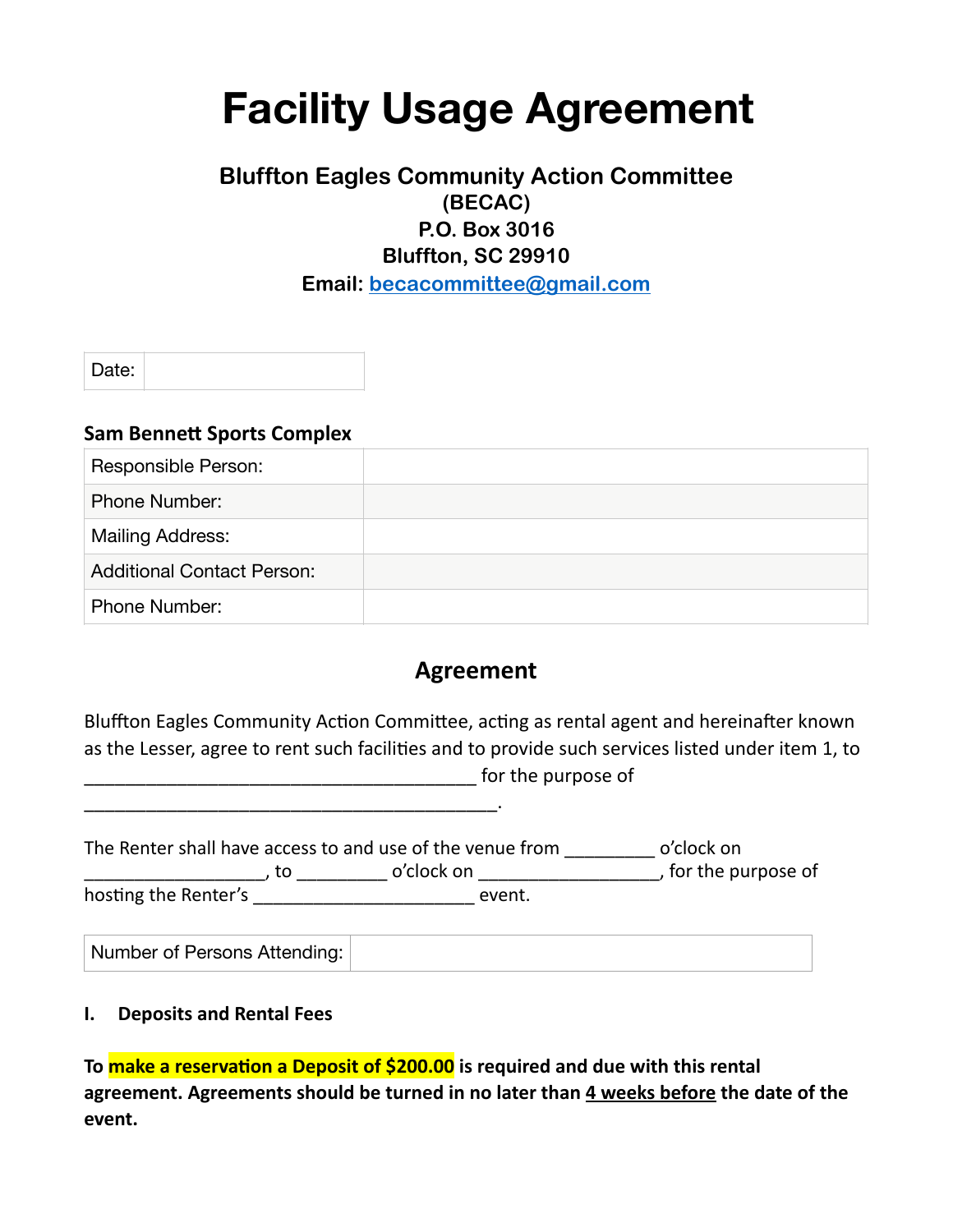# **Facility Usage Agreement**

# **Bluffton Eagles Community Action Committee (BECAC) P.O. Box 3016 Bluffton, SC 29910 Email: [becacommittee@gmail.com](mailto:becacommittee@gmail.com)**

Date:

#### **Sam Bennett Sports Complex**

| Responsible Person:               |  |
|-----------------------------------|--|
| <b>Phone Number:</b>              |  |
| Mailing Address:                  |  |
| <b>Additional Contact Person:</b> |  |
| <b>Phone Number:</b>              |  |

# **Agreement**

Bluffton Eagles Community Action Committee, acting as rental agent and hereinafter known as the Lesser, agree to rent such facilities and to provide such services listed under item 1, to denotes the purpose of

The Renter shall have access to and use of the venue from \_\_\_\_\_\_\_\_\_\_\_ o'clock on \_\_\_\_\_\_\_\_\_\_\_\_\_\_\_\_\_, to \_\_\_\_\_\_\_\_\_\_\_\_\_ o'clock on \_\_\_\_\_\_\_\_\_\_\_\_\_\_\_\_\_\_\_\_\_\_\_\_\_\_\_\_, for the purpose of hosting the Renter's event.

Number of Persons Attending:

#### **I.** Deposits and Rental Fees

\_\_\_\_\_\_\_\_\_\_\_\_\_\_\_\_\_\_\_\_\_\_\_\_\_\_\_\_\_\_\_\_\_\_\_\_\_\_\_\_. 

To make a reservation a Deposit of \$200.00 is required and due with this rental agreement. Agreements should be turned in no later than 4 weeks before the date of the **event.**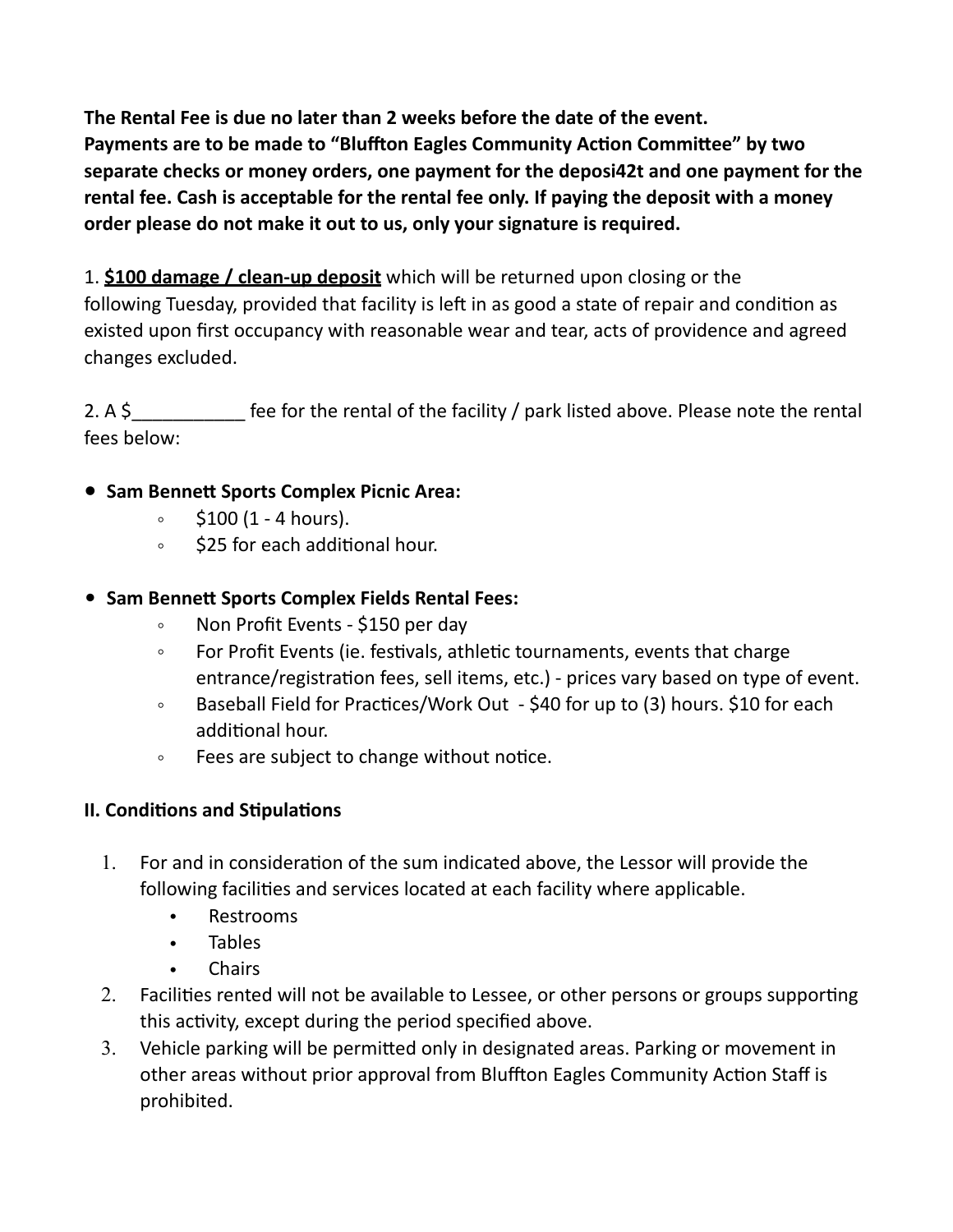The Rental Fee is due no later than 2 weeks before the date of the event. Payments are to be made to "Bluffton Eagles Community Action Committee" by two separate checks or money orders, one payment for the deposi42t and one payment for the rental fee. Cash is acceptable for the rental fee only. If paying the deposit with a money order please do not make it out to us, only your signature is required.

1. **\$100 damage / clean-up deposit** which will be returned upon closing or the following Tuesday, provided that facility is left in as good a state of repair and condition as existed upon first occupancy with reasonable wear and tear, acts of providence and agreed changes excluded. 

2. A  $\frac{1}{2}$  A  $\frac{1}{2}$  fee for the rental of the facility / park listed above. Please note the rental fees below:

## **• Sam Bennett Sports Complex Picnic Area:**

- $\circ$  \$100 (1 4 hours).
- **\$25** for each additional hour.

## • **Sam Bennett Sports Complex Fields Rental Fees:**

- Non Profit Events \$150 per day
- For Profit Events (ie. festivals, athletic tournaments, events that charge entrance/registration fees, sell items, etc.) - prices vary based on type of event.
- Baseball Field for Practices/Work Out \$40 for up to (3) hours. \$10 for each additional hour.
- Fees are subject to change without notice.

## **II. Conditions and Stipulations**

- 1. For and in consideration of the sum indicated above, the Lessor will provide the following facilities and services located at each facility where applicable.
	- Restrooms
	- Tables
	- **Chairs**
- 2. Facilities rented will not be available to Lessee, or other persons or groups supporting this activity, except during the period specified above.
- 3. Vehicle parking will be permitted only in designated areas. Parking or movement in other areas without prior approval from Bluffton Eagles Community Action Staff is prohibited.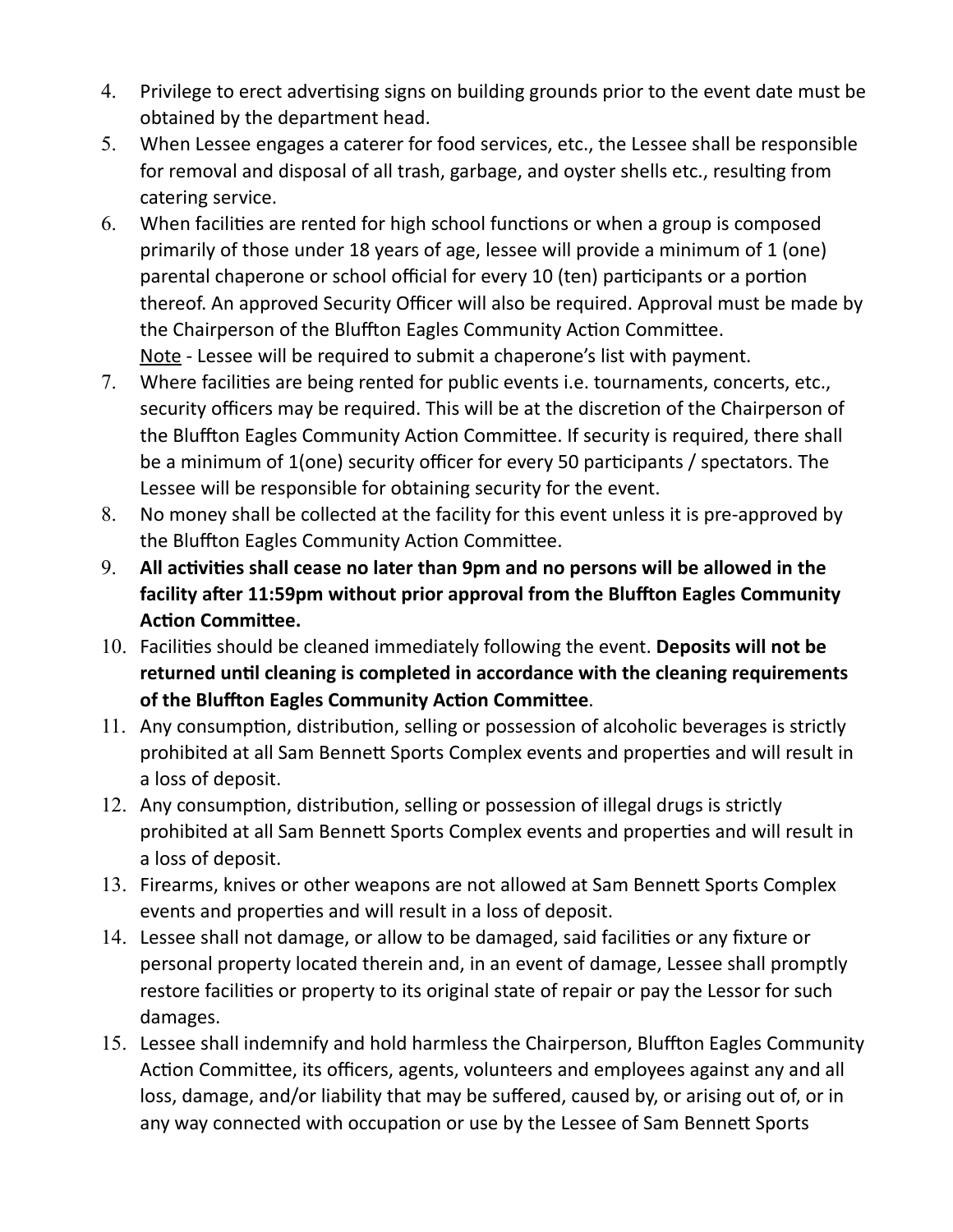- 4. Privilege to erect advertising signs on building grounds prior to the event date must be obtained by the department head.
- 5. When Lessee engages a caterer for food services, etc., the Lessee shall be responsible for removal and disposal of all trash, garbage, and oyster shells etc., resulting from catering service.
- $6.$  When facilities are rented for high school functions or when a group is composed primarily of those under 18 years of age, lessee will provide a minimum of 1 (one) parental chaperone or school official for every 10 (ten) participants or a portion thereof. An approved Security Officer will also be required. Approval must be made by the Chairperson of the Bluffton Eagles Community Action Committee. Note - Lessee will be required to submit a chaperone's list with payment.
- 7. Where facilities are being rented for public events i.e. tournaments, concerts, etc., security officers may be required. This will be at the discretion of the Chairperson of the Bluffton Eagles Community Action Committee. If security is required, there shall be a minimum of 1(one) security officer for every 50 participants / spectators. The Lessee will be responsible for obtaining security for the event.
- 8. No money shall be collected at the facility for this event unless it is pre-approved by the Bluffton Eagles Community Action Committee.
- 9. All activities shall cease no later than 9pm and no persons will be allowed in the facility after 11:59pm without prior approval from the Bluffton Eagles Community **Action Committee.**
- 10. Facilities should be cleaned immediately following the event. Deposits will not be returned until cleaning is completed in accordance with the cleaning requirements of the Bluffton Eagles Community Action Committee.
- 11. Any consumption, distribution, selling or possession of alcoholic beverages is strictly prohibited at all Sam Bennett Sports Complex events and properties and will result in a loss of deposit.
- 12. Any consumption, distribution, selling or possession of illegal drugs is strictly prohibited at all Sam Bennett Sports Complex events and properties and will result in a loss of deposit.
- 13. Firearms, knives or other weapons are not allowed at Sam Bennett Sports Complex events and properties and will result in a loss of deposit.
- 14. Lessee shall not damage, or allow to be damaged, said facilities or any fixture or personal property located therein and, in an event of damage, Lessee shall promptly restore facilities or property to its original state of repair or pay the Lessor for such damages.
- 15. Lessee shall indemnify and hold harmless the Chairperson, Bluffton Eagles Community Action Committee, its officers, agents, volunteers and employees against any and all loss, damage, and/or liability that may be suffered, caused by, or arising out of, or in any way connected with occupation or use by the Lessee of Sam Bennett Sports